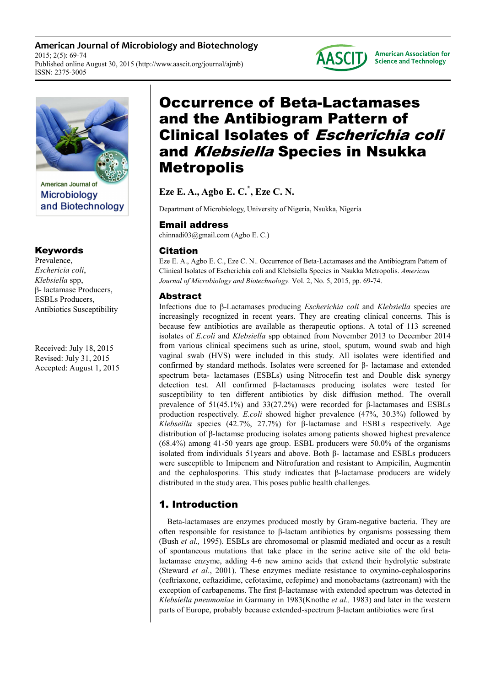**American Journal of Microbiology and Biotechnology**  2015; 2(5): 69-74 Published online August 30, 2015 (http://www.aascit.org/journal/ajmb) ISSN: 2375-3005





**Microbiology** and Biotechnology

## Keywords

Prevalence, *Eschericia coli*, *Klebsiella* spp, β- lactamase Producers, ESBLs Producers, Antibiotics Susceptibility

Received: July 18, 2015 Revised: July 31, 2015 Accepted: August 1, 2015

# Occurrence of Beta-Lactamases and the Antibiogram Pattern of Clinical Isolates of Escherichia coli and Klebsiella Species in Nsukka Metropolis

**Eze E. A., Agbo E. C.\* , Eze C. N.**

Department of Microbiology, University of Nigeria, Nsukka, Nigeria

## Email address

chinnadi03@gmail.com (Agbo E. C.)

# Citation

Eze E. A., Agbo E. C., Eze C. N.. Occurrence of Beta-Lactamases and the Antibiogram Pattern of Clinical Isolates of Escherichia coli and Klebsiella Species in Nsukka Metropolis. *American Journal of Microbiology and Biotechnology.* Vol. 2, No. 5, 2015, pp. 69-74.

# Abstract

Infections due to β-Lactamases producing *Escherichia coli* and *Klebsiella* species are increasingly recognized in recent years. They are creating clinical concerns. This is because few antibiotics are available as therapeutic options. A total of 113 screened isolates of *E.coli* and *Klebsiella* spp obtained from November 2013 to December 2014 from various clinical specimens such as urine, stool, sputum, wound swab and high vaginal swab (HVS) were included in this study. All isolates were identified and confirmed by standard methods. Isolates were screened for β- lactamase and extended spectrum beta- lactamases (ESBLs) using Nitrocefin test and Double disk synergy detection test. All confirmed β-lactamases producing isolates were tested for susceptibility to ten different antibiotics by disk diffusion method. The overall prevalence of 51(45.1%) and 33(27.2%) were recorded for β-lactamases and ESBLs production respectively. *E.coli* showed higher prevalence (47%, 30.3%) followed by *Klebseilla* species (42.7%, 27.7%) for β-lactamase and ESBLs respectively. Age distribution of β-lactamse producing isolates among patients showed highest prevalence (68.4%) among 41-50 years age group. ESBL producers were 50.0% of the organisms isolated from individuals 51years and above. Both β- lactamase and ESBLs producers were susceptible to Imipenem and Nitrofuration and resistant to Ampicilin, Augmentin and the cephalosporins. This study indicates that  $\beta$ -lactamase producers are widely distributed in the study area. This poses public health challenges.

# 1. Introduction

Beta-lactamases are enzymes produced mostly by Gram-negative bacteria. They are often responsible for resistance to β-lactam antibiotics by organisms possessing them (Bush *et al.,* 1995). ESBLs are chromosomal or plasmid mediated and occur as a result of spontaneous mutations that take place in the serine active site of the old betalactamase enzyme, adding 4-6 new amino acids that extend their hydrolytic substrate (Steward *et al*., 2001). These enzymes mediate resistance to oxymino-cephalosporins (ceftriaxone, ceftazidime, cefotaxime, cefepime) and monobactams (aztreonam) with the exception of carbapenems. The first β-lactamase with extended spectrum was detected in *Klebsiella pneumoniae* in Garmany in 1983(Knothe *et al.,* 1983) and later in the western parts of Europe, probably because extended-spectrum β-lactam antibiotics were first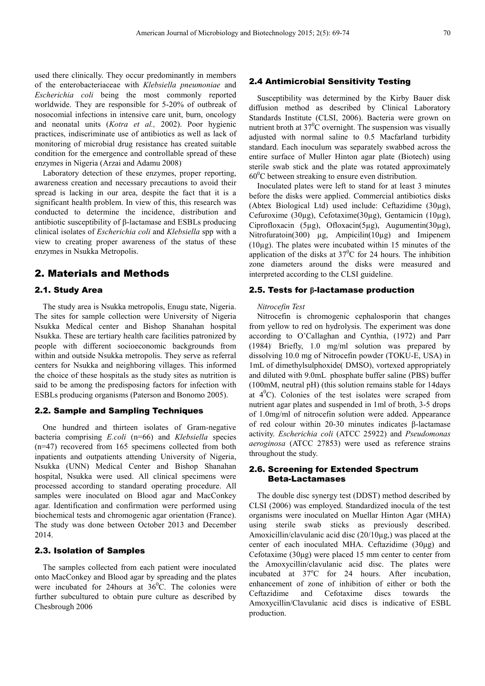used there clinically. They occur predominantly in members of the enterobacteriaceae with *Klebsiella pneumoniae* and *Escherichia coli* being the most commonly reported worldwide. They are responsible for 5-20% of outbreak of nosocomial infections in intensive care unit, burn, oncology and neonatal units (*Kotra et al.,* 2002). Poor hygienic practices, indiscriminate use of antibiotics as well as lack of monitoring of microbial drug resistance has created suitable condition for the emergence and controllable spread of these enzymes in Nigeria (Arzai and Adamu 2008).

Laboratory detection of these enzymes, proper reporting, awareness creation and necessary precautions to avoid their spread is lacking in our area, despite the fact that it is a significant health problem. In view of this, this research was conducted to determine the incidence, distribution and antibiotic susceptibility of β-lactamase and ESBLs producing clinical isolates of *Escherichia coli* and *Klebsiella* spp with a view to creating proper awareness of the status of these enzymes in Nsukka Metropolis.

### 2. Materials and Methods

### 2.1. Study Area

The study area is Nsukka metropolis, Enugu state, Nigeria. The sites for sample collection were University of Nigeria Nsukka Medical center and Bishop Shanahan hospital Nsukka. These are tertiary health care facilities patronized by people with different socioeconomic backgrounds from within and outside Nsukka metropolis. They serve as referral centers for Nsukka and neighboring villages. This informed the choice of these hospitals as the study sites as nutrition is said to be among the predisposing factors for infection with ESBLs producing organisms (Paterson and Bonomo 2005).

#### 2.2. Sample and Sampling Techniques

One hundred and thirteen isolates of Gram-negative bacteria comprising *E.coli* (n=66) and *Klebsiella* species (n=47) recovered from 165 specimens collected from both inpatients and outpatients attending University of Nigeria, Nsukka (UNN) Medical Center and Bishop Shanahan hospital, Nsukka were used. All clinical specimens were processed according to standard operating procedure. All samples were inoculated on Blood agar and MacConkey agar. Identification and confirmation were performed using biochemical tests and chromogenic agar orientation (France). The study was done between October 2013 and December 2014.

#### 2.3. Isolation of Samples

The samples collected from each patient were inoculated onto MacConkey and Blood agar by spreading and the plates were incubated for 24hours at  $36^{\circ}$ C. The colonies were further subcultured to obtain pure culture as described by Chesbrough 2006

#### 2.4 Antimicrobial Sensitivity Testing

Susceptibility was determined by the Kirby Bauer disk diffusion method as described by Clinical Laboratory Standards Institute (CLSI, 2006). Bacteria were grown on nutrient broth at  $37^{\circ}$ C overnight. The suspension was visually adjusted with normal saline to 0.5 Macfarland turbidity standard. Each inoculum was separately swabbed across the entire surface of Muller Hinton agar plate (Biotech) using sterile swab stick and the plate was rotated approximately  $60^{\circ}$ C between streaking to ensure even distribution.

Inoculated plates were left to stand for at least 3 minutes before the disks were applied. Commercial antibiotics disks (Abtex Biological Ltd) used include: Ceftazidime (30µg), Cefuroxime (30µg), Cefotaxime(30µg), Gentamicin (10µg), Ciprofloxacin (5µg), Ofloxacin(5µg), Augumentin(30µg), Nitrofuratoin(300)  $\mu$ g, Ampicilin(10 $\mu$ g) and Imipenem  $(10\mu g)$ . The plates were incubated within 15 minutes of the application of the disks at  $37^{\circ}$ C for 24 hours. The inhibition zone diameters around the disks were measured and interpreted according to the CLSI guideline.

#### 2.5. Tests for **β**-lactamase production

#### *Nitrocefin Test*

Nitrocefin is chromogenic cephalosporin that changes from yellow to red on hydrolysis. The experiment was done according to O'Callaghan and Cynthia, (1972) and Parr (1984). Briefly, 1.0 mg/ml solution was prepared by dissolving 10.0 mg of Nitrocefin powder (TOKU-E, USA) in 1mL of dimethylsulphoxide( DMSO), vortexed appropriately and diluted with 9.0mL phosphate buffer saline (PBS) buffer (100mM, neutral pH) (this solution remains stable for 14days at  $4^{\circ}$ C). Colonies of the test isolates were scraped from nutrient agar plates and suspended in 1ml of broth, 3-5 drops of 1.0mg/ml of nitrocefin solution were added. Appearance of red colour within 20-30 minutes indicates β-lactamase activity. *Escherichia coli* (ATCC 25922) and *Pseudomonas aeroginosa* (ATCC 27853) were used as reference strains throughout the study.

### 2.6. Screening for Extended Spectrum Beta-Lactamases

The double disc synergy test (DDST) method described by CLSI (2006) was employed. Standardized inocula of the test organisms were inoculated on Muellar Hinton Agar (MHA) using sterile swab sticks as previously described. Amoxicillin/clavulanic acid disc  $(20/10\mu g)$ , was placed at the center of each inoculated MHA. Ceftazidime (30µg) and Cefotaxime  $(30\mu g)$  were placed 15 mm center to center from the Amoxycillin/clavulanic acid disc. The plates were incubated at  $37^{\circ}$ C for 24 hours. After incubation, enhancement of zone of inhibition of either or both the Ceftazidime and Cefotaxime discs towards the Amoxycillin/Clavulanic acid discs is indicative of ESBL production.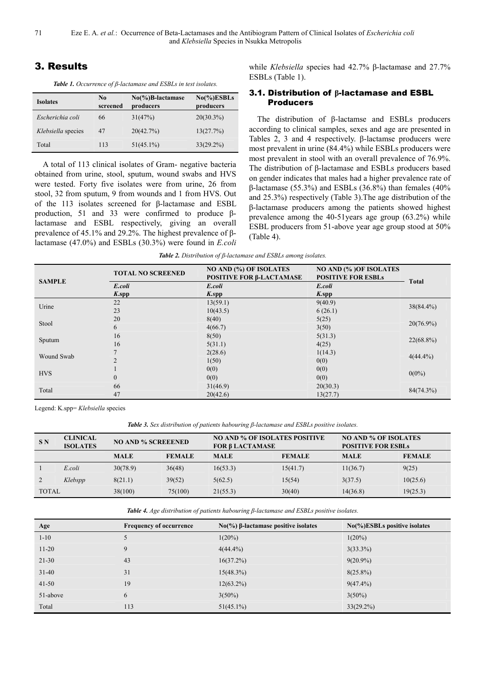71 Eze E. A. *et al.*: Occurrence of Beta-Lactamases and the Antibiogram Pattern of Clinical Isolates of *Escherichia coli* and *Klebsiella* Species in Nsukka Metropolis

### 3. Results

*Table 1. Occurrence of β-lactamase and ESBLs in test isolates.* 

| <b>Isolates</b>    | N <sub>0</sub><br>screened | $No(\%)B$ -lactamase<br>producers | $No(\%)ESBLs$<br>producers |
|--------------------|----------------------------|-----------------------------------|----------------------------|
| Escherichia coli   | 66                         | 31(47%)                           | $20(30.3\%)$               |
| Klebsiella species | 47                         | 20(42.7%)                         | 13(27.7%)                  |
| Total              | 113                        | $51(45.1\%)$                      | $33(29.2\%)$               |

A total of 113 clinical isolates of Gram- negative bacteria obtained from urine, stool, sputum, wound swabs and HVS were tested. Forty five isolates were from urine, 26 from stool, 32 from sputum, 9 from wounds and 1 from HVS. Out of the 113 isolates screened for β-lactamase and ESBL production, 51 and 33 were confirmed to produce βlactamase and ESBL respectively, giving an overall prevalence of 45.1% and 29.2%. The highest prevalence of βlactamase (47.0%) and ESBLs (30.3%) were found in *E.coli*  while *Klebsiella* species had 42.7% β-lactamase and 27.7% ESBLs (Table 1).

### 3.1. Distribution of **β**-lactamase and ESBL Producers

The distribution of β-lactamse and ESBLs producers according to clinical samples, sexes and age are presented in Tables 2, 3 and 4 respectively. β-lactamse producers were most prevalent in urine (84.4%) while ESBLs producers were most prevalent in stool with an overall prevalence of 76.9%. The distribution of β-lactamase and ESBLs producers based on gender indicates that males had a higher prevalence rate of β-lactamase (55.3%) and ESBLs (36.8%) than females (40% and 25.3%) respectively (Table 3).The age distribution of the β-lactamase producers among the patients showed highest prevalence among the 40-51years age group (63.2%) while ESBL producers from 51-above year age group stood at 50% (Table 4).

| <b>SAMPLE</b> | <b>TOTAL NO SCREENED</b> | <b>NO AND (%) OF ISOLATES</b><br>POSITIVE FOR <b>B-LACTAMASE</b> | <b>NO AND (%) OF ISOLATES</b><br><b>POSITIVE FOR ESBLs</b> |              |  |
|---------------|--------------------------|------------------------------------------------------------------|------------------------------------------------------------|--------------|--|
|               | E.coli                   | E.coli                                                           | E.coli                                                     | <b>Total</b> |  |
|               | $K.\text{spp}$           | $K$ .spp                                                         | $K$ .spp                                                   |              |  |
| Urine         | 22                       | 13(59.1)                                                         | 9(40.9)                                                    | $38(84.4\%)$ |  |
|               | 23                       | 10(43.5)                                                         | 6(26.1)                                                    |              |  |
| Stool         | 20                       | 8(40)                                                            | 5(25)                                                      | $20(76.9\%)$ |  |
|               | 6                        | 4(66.7)                                                          | 3(50)                                                      |              |  |
|               | 16                       | 8(50)                                                            | 5(31.3)                                                    | $22(68.8\%)$ |  |
| Sputum        | 16                       | 5(31.1)                                                          | 4(25)                                                      |              |  |
|               | $\overline{7}$           | 2(28.6)                                                          | 1(14.3)                                                    | $4(44.4\%)$  |  |
| Wound Swab    | $\overline{2}$           | 1(50)                                                            | 0(0)                                                       |              |  |
| <b>HVS</b>    |                          | 0(0)                                                             | 0(0)                                                       | $0(0\%)$     |  |
|               | $\theta$                 | 0(0)                                                             | 0(0)                                                       |              |  |
|               | 66                       | 31(46.9)                                                         | 20(30.3)                                                   | 84(74.3%)    |  |
| Total         | 47                       | 20(42.6)                                                         | 13(27.7)                                                   |              |  |

Legend: K.spp= *Klebsiella* species

*Table 3. Sex distribution of patients habouring β-lactamase and ESBLs positive isolates.* 

| <b>SN</b>    | <b>CLINICAL</b><br><b>ISOLATES</b> | <b>NO AND % SCREEENED</b> |               | <b>NO AND % OF ISOLATES POSITIVE</b><br><b>FOR β LACTAMASE</b> |               | <b>NO AND % OF ISOLATES</b><br><b>POSITIVE FOR ESBLs</b> |               |
|--------------|------------------------------------|---------------------------|---------------|----------------------------------------------------------------|---------------|----------------------------------------------------------|---------------|
|              |                                    | <b>MALE</b>               | <b>FEMALE</b> | <b>MALE</b>                                                    | <b>FEMALE</b> | <b>MALE</b>                                              | <b>FEMALE</b> |
|              | E.coli                             | 30(78.9)                  | 36(48)        | 16(53.3)                                                       | 15(41.7)      | 11(36.7)                                                 | 9(25)         |
|              | Klebspp                            | 8(21.1)                   | 39(52)        | 5(62.5)                                                        | 15(54)        | 3(37.5)                                                  | 10(25.6)      |
| <b>TOTAL</b> |                                    | 38(100)                   | 75(100)       | 21(55.3)                                                       | 30(40)        | 14(36.8)                                                 | 19(25.3)      |

*Table 4. Age distribution of patients habouring β-lactamase and ESBLs positive isolates.* 

| Age       | <b>Frequency of occurrence</b> | $No$ (%) β-lactamase positive isolates | $No(\%)ESBLs$ positive isolates |
|-----------|--------------------------------|----------------------------------------|---------------------------------|
| $1 - 10$  |                                | $1(20\%)$                              | $1(20\%)$                       |
| $11 - 20$ | 9                              | $4(44.4\%)$                            | $3(33.3\%)$                     |
| $21 - 30$ | 43                             | 16(37.2%)                              | $9(20.9\%)$                     |
| $31-40$   | 31                             | 15(48.3%)                              | $8(25.8\%)$                     |
| $41 - 50$ | 19                             | $12(63.2\%)$                           | $9(47.4\%)$                     |
| 51-above  | 6                              | $3(50\%)$                              | $3(50\%)$                       |
| Total     | 113                            | $51(45.1\%)$                           | $33(29.2\%)$                    |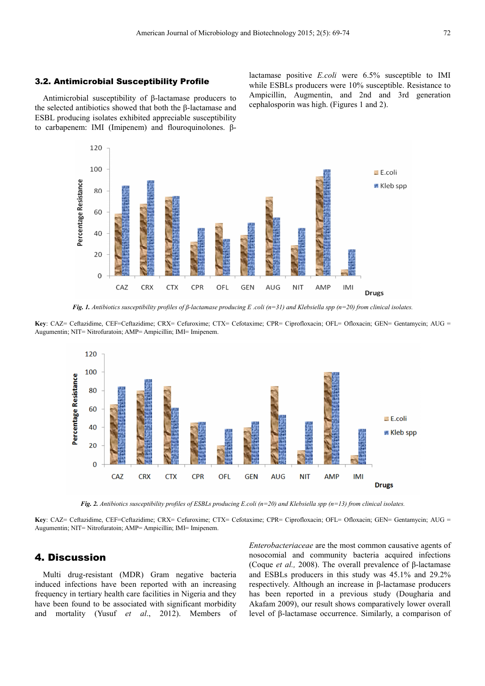#### 3.2. Antimicrobial Susceptibility Profile

120

Antimicrobial susceptibility of β-lactamase producers to the selected antibiotics showed that both the β-lactamase and ESBL producing isolates exhibited appreciable susceptibility to carbapenem: IMI (Imipenem) and flouroquinolones. βlactamase positive *E.coli* were 6.5% susceptible to IMI while ESBLs producers were 10% susceptible. Resistance to Ampicillin, Augmentin, and 2nd and 3rd generation cephalosporin was high. (Figures 1 and 2).



*Fig. 1. Antibiotics susceptibility profiles of β-lactamase producing E .coli (n=31) and Klebsiella spp (n=20) from clinical isolates.* 

**Key**: CAZ= Ceftazidime, CEF=Ceftazidime; CRX= Cefuroxime; CTX= Cefotaxime; CPR= Ciprofloxacin; OFL= Ofloxacin; GEN= Gentamycin; AUG = Augumentin; NIT= Nitrofuratoin; AMP= Ampicillin; IMI= Imipenem.



*Fig. 2. Antibiotics susceptibility profiles of ESBLs producing E.coli (n=20) and Klebsiella spp (n=13) from clinical isolates.* 

**Key**: CAZ= Ceftazidime, CEF=Ceftazidime; CRX= Cefuroxime; CTX= Cefotaxime; CPR= Ciprofloxacin; OFL= Ofloxacin; GEN= Gentamycin; AUG = Augumentin; NIT= Nitrofuratoin; AMP= Ampicillin; IMI= Imipenem.

### 4. Discussion

Multi drug-resistant (MDR) Gram negative bacteria induced infections have been reported with an increasing frequency in tertiary health care facilities in Nigeria and they have been found to be associated with significant morbidity and mortality (Yusuf *et al*., 2012). Members of *Enterobacteriaceae* are the most common causative agents of nosocomial and community bacteria acquired infections (Coque *et al.,* 2008). The overall prevalence of β-lactamase and ESBLs producers in this study was 45.1% and 29.2% respectively. Although an increase in β-lactamase producers has been reported in a previous study (Dougharia and Akafam 2009), our result shows comparatively lower overall level of β-lactamase occurrence. Similarly, a comparison of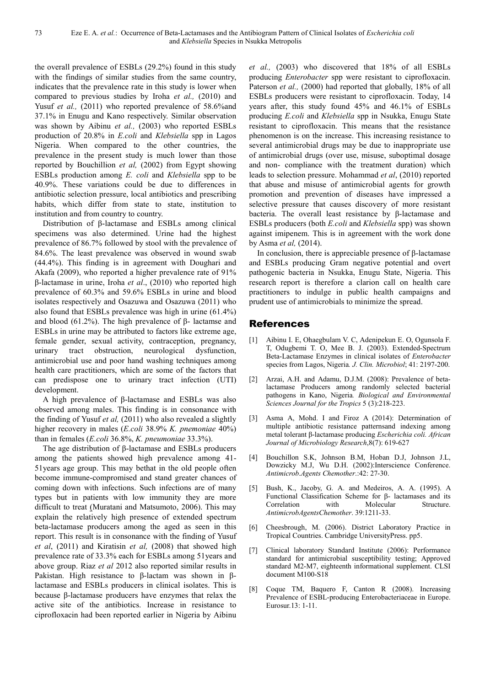the overall prevalence of ESBLs (29.2%) found in this study with the findings of similar studies from the same country, indicates that the prevalence rate in this study is lower when compared to previous studies by Iroha *et al.,* (2010) and Yusuf *et al.*, (2011) who reported prevalence of 58.6% and 37.1% in Enugu and Kano respectively. Similar observation was shown by Aibinu *et al.,* (2003) who reported ESBLs production of 20.8% in *E.coli* and *Klebsiella* spp in Lagos Nigeria. When compared to the other countries, the prevalence in the present study is much lower than those reported by Bouchillion *et al,* (2002) from Egypt showing ESBLs production among *E. coli* and *Klebsiella* spp to be 40.9%. These variations could be due to differences in antibiotic selection pressure, local antibiotics and prescribing habits, which differ from state to state, institution to institution and from country to country.

Distribution of β-lactamase and ESBLs among clinical specimens was also determined. Urine had the highest prevalence of 86.7% followed by stool with the prevalence of 84.6%. The least prevalence was observed in wound swab (44.4%). This finding is in agreement with Doughari and Akafa (2009), who reported a higher prevalence rate of 91% β-lactamase in urine, Iroha *et al*., (2010) who reported high prevalence of 60.3% and 59.6% ESBLs in urine and blood isolates respectively and Osazuwa and Osazuwa (2011) who also found that ESBLs prevalence was high in urine (61.4%) and blood (61.2%). The high prevalence of β- lactamse and ESBLs in urine may be attributed to factors like extreme age, female gender, sexual activity, contraception, pregnancy, urinary tract obstruction, neurological dysfunction, antimicrobial use and poor hand washing techniques among health care practitioners, which are some of the factors that can predispose one to urinary tract infection (UTI) development.

A high prevalence of β-lactamase and ESBLs was also observed among males. This finding is in consonance with the finding of Yusuf *et al,* (2011) who also revealed a slightly higher recovery in males (*E.coli* 38.9% *K. pnemoniae* 40%) than in females (*E.coli* 36.8%, *K. pneumoniae* 33.3%).

The age distribution of β-lactamase and ESBLs producers among the patients showed high prevalence among 41- 51years age group. This may bethat in the old people often become immune-compromised and stand greater chances of coming down with infections. Such infections are of many types but in patients with low immunity they are more difficult to treat (Muratani and Matsumoto, 2006). This may explain the relatively high presence of extended spectrum beta-lactamase producers among the aged as seen in this report. This result is in consonance with the finding of Yusuf *et al*, (2011) and Kiratisin *et al,* (2008) that showed high prevalence rate of 33.3% each for ESBLs among 51years and above group. Riaz *et al* 2012 also reported similar results in Pakistan. High resistance to β-lactam was shown in βlactamase and ESBLs producers in clinical isolates. This is because β-lactamase producers have enzymes that relax the active site of the antibiotics. Increase in resistance to ciprofloxacin had been reported earlier in Nigeria by Aibinu *et al.,* (2003) who discovered that 18% of all ESBLs producing *Enterobacter* spp were resistant to ciprofloxacin. Paterson *et al.*, (2000) had reported that globally, 18% of all ESBLs producers were resistant to ciprofloxacin. Today, 14 years after, this study found 45% and 46.1% of ESBLs producing *E.coli* and *Klebsiella* spp in Nsukka, Enugu State resistant to ciprofloxacin. This means that the resistance phenomenon is on the increase. This increasing resistance to several antimicrobial drugs may be due to inappropriate use of antimicrobial drugs (over use, misuse, suboptimal dosage and non- compliance with the treatment duration) which leads to selection pressure. Mohammad *et al*, (2010) reported that abuse and misuse of antimicrobial agents for growth promotion and prevention of diseases have impressed a selective pressure that causes discovery of more resistant bacteria. The overall least resistance by β-lactamase and ESBLs producers (both *E.coli* and *Klebsiella* spp) was shown against imipenem. This is in agreement with the work done by Asma *et al,* (2014).

In conclusion, there is appreciable presence of β-lactamase and ESBLs producing Gram negative potential and overt pathogenic bacteria in Nsukka, Enugu State, Nigeria. This research report is therefore a clarion call on health care practitioners to indulge in public health campaigns and prudent use of antimicrobials to minimize the spread.

## References

- [1] Aibinu I. E, Ohaegbulam V. C, Adenipekun E. O, Ogunsola F. T, Odugbemi T. O, Mee B. J. (2003). Extended-Spectrum Beta-Lactamase Enzymes in clinical isolates of *Enterobacter* species from Lagos, Nigeria*. J. Clin. Microbiol*; 41: 2197-200.
- [2] Arzai, A.H. and Adamu, D.J.M. (2008): Prevalence of betalactamase Producers among randomly selected bacterial pathogens in Kano, Nigeria*. Biological and Environmental Sciences Journal for the Tropics* 5 (3):218-223.
- [3] Asma A, Mohd. I and Firoz A (2014): Determination of multiple antibiotic resistance patternsand indexing among metal tolerant β-lactamase producing *Escherichia coli. African Journal of Microbiology Research*,8(7): 619-627
- [4] Bouchillon S.K, Johnson B.M, Hoban D.J, Johnson J.L, Dowzicky M.J, Wu D.H. (2002):Interscience Conference. *Antimicrob*.*Agents Chemother*.:42: 27-30.
- [5] Bush, K., Jacoby, G. A. and Medeiros, A. A. (1995). A Functional Classification Scheme for β- lactamases and its Correlation with Molecular Structure. *AntimicrobAgentsChemother*. 39:1211-33.
- [6] Cheesbrough, M. (2006). District Laboratory Practice in Tropical Countries. Cambridge UniversityPress. pp5.
- [7] Clinical laboratory Standard Institute (2006): Performance standard for antimicrobial susceptibility testing; Approved standard M2-M7, eighteenth informational supplement. CLSI document M100-S18
- [8] Coque TM, Baquero F, Canton R (2008). Increasing Prevalence of ESBL-producing Enterobacteriaceae in Europe. Eurosur.13: 1-11.